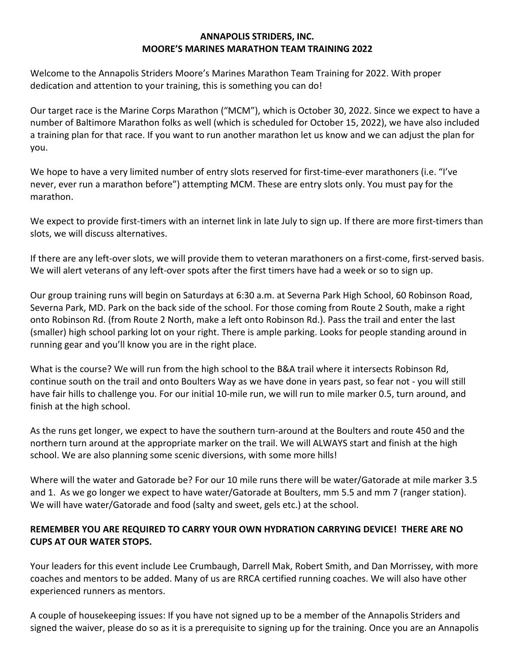## **ANNAPOLIS STRIDERS, INC. MOORE'S MARINES MARATHON TEAM TRAINING 2022**

Welcome to the Annapolis Striders Moore's Marines Marathon Team Training for 2022. With proper dedication and attention to your training, this is something you can do!

Our target race is the Marine Corps Marathon ("MCM"), which is October 30, 2022. Since we expect to have a number of Baltimore Marathon folks as well (which is scheduled for October 15, 2022), we have also included a training plan for that race. If you want to run another marathon let us know and we can adjust the plan for you.

We hope to have a very limited number of entry slots reserved for first-time-ever marathoners (i.e. "I've never, ever run a marathon before") attempting MCM. These are entry slots only. You must pay for the marathon.

We expect to provide first-timers with an internet link in late July to sign up. If there are more first-timers than slots, we will discuss alternatives.

If there are any left-over slots, we will provide them to veteran marathoners on a first-come, first-served basis. We will alert veterans of any left-over spots after the first timers have had a week or so to sign up.

Our group training runs will begin on Saturdays at 6:30 a.m. at Severna Park High School, 60 Robinson Road, Severna Park, MD. Park on the back side of the school. For those coming from Route 2 South, make a right onto Robinson Rd. (from Route 2 North, make a left onto Robinson Rd.). Pass the trail and enter the last (smaller) high school parking lot on your right. There is ample parking. Looks for people standing around in running gear and you'll know you are in the right place.

What is the course? We will run from the high school to the B&A trail where it intersects Robinson Rd, continue south on the trail and onto Boulters Way as we have done in years past, so fear not - you will still have fair hills to challenge you. For our initial 10-mile run, we will run to mile marker 0.5, turn around, and finish at the high school.

As the runs get longer, we expect to have the southern turn-around at the Boulters and route 450 and the northern turn around at the appropriate marker on the trail. We will ALWAYS start and finish at the high school. We are also planning some scenic diversions, with some more hills!

Where will the water and Gatorade be? For our 10 mile runs there will be water/Gatorade at mile marker 3.5 and 1. As we go longer we expect to have water/Gatorade at Boulters, mm 5.5 and mm 7 (ranger station). We will have water/Gatorade and food (salty and sweet, gels etc.) at the school.

## **REMEMBER YOU ARE REQUIRED TO CARRY YOUR OWN HYDRATION CARRYING DEVICE! THERE ARE NO CUPS AT OUR WATER STOPS.**

Your leaders for this event include Lee Crumbaugh, Darrell Mak, Robert Smith, and Dan Morrissey, with more coaches and mentors to be added. Many of us are RRCA certified running coaches. We will also have other experienced runners as mentors.

A couple of housekeeping issues: If you have not signed up to be a member of the Annapolis Striders and signed the waiver, please do so as it is a prerequisite to signing up for the training. Once you are an Annapolis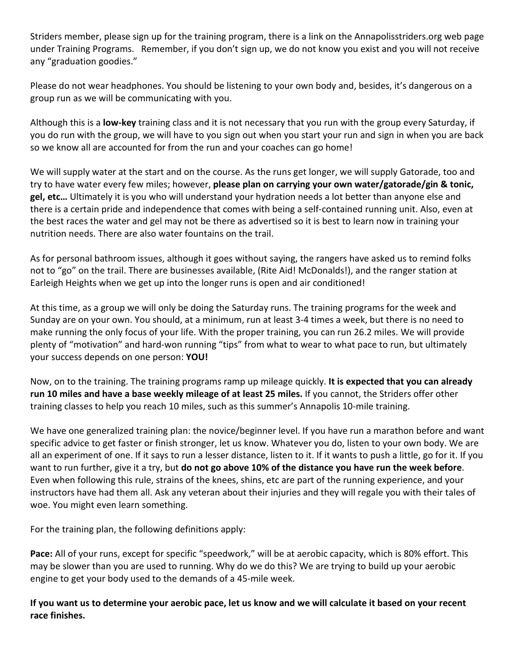Striders member, please sign up for the training program, there is a link on the Annapolisstriders.org web page under Training Programs. Remember, if you don't sign up, we do not know you exist and you will not receive any "graduation goodies."

Please do not wear headphones. You should be listening to your own body and, besides, it's dangerous on a group run as we will be communicating with you.

Although this is a **low-key** training class and it is not necessary that you run with the group every Saturday, if you do run with the group, we will have to you sign out when you start your run and sign in when you are back so we know all are accounted for from the run and your coaches can go home!

We will supply water at the start and on the course. As the runs get longer, we will supply Gatorade, too and try to have water every few miles; however, **please plan on carrying your own water/gatorade/gin & tonic, gel, etc…** Ultimately it is you who will understand your hydration needs a lot better than anyone else and there is a certain pride and independence that comes with being a self-contained running unit. Also, even at the best races the water and gel may not be there as advertised so it is best to learn now in training your nutrition needs. There are also water fountains on the trail.

As for personal bathroom issues, although it goes without saying, the rangers have asked us to remind folks not to "go" on the trail. There are businesses available, (Rite Aid! McDonalds!), and the ranger station at Earleigh Heights when we get up into the longer runs is open and air conditioned!

At this time, as a group we will only be doing the Saturday runs. The training programs for the week and Sunday are on your own. You should, at a minimum, run at least 3-4 times a week, but there is no need to make running the only focus of your life. With the proper training, you can run 26.2 miles. We will provide plenty of "motivation" and hard-won running "tips" from what to wear to what pace to run, but ultimately your success depends on one person: **YOU!**

Now, on to the training. The training programs ramp up mileage quickly. **It is expected that you can already run 10 miles and have a base weekly mileage of at least 25 miles.** If you cannot, the Striders offer other training classes to help you reach 10 miles, such as this summer's Annapolis 10-mile training.

We have one generalized training plan: the novice/beginner level. If you have run a marathon before and want specific advice to get faster or finish stronger, let us know. Whatever you do, listen to your own body. We are all an experiment of one. If it says to run a lesser distance, listen to it. If it wants to push a little, go for it. If you want to run further, give it a try, but **do not go above 10% of the distance you have run the week before**. Even when following this rule, strains of the knees, shins, etc are part of the running experience, and your instructors have had them all. Ask any veteran about their injuries and they will regale you with their tales of woe. You might even learn something.

For the training plan, the following definitions apply:

**Pace:** All of your runs, except for specific "speedwork," will be at aerobic capacity, which is 80% effort. This may be slower than you are used to running. Why do we do this? We are trying to build up your aerobic engine to get your body used to the demands of a 45-mile week.

**If you want us to determine your aerobic pace, let us know and we will calculate it based on your recent race finishes.**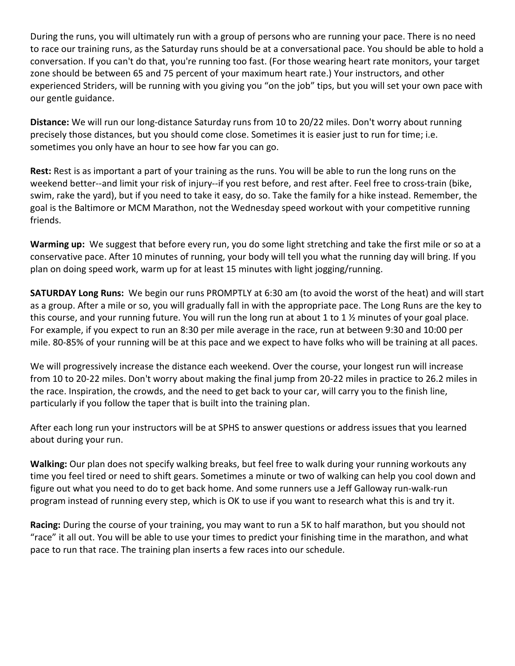During the runs, you will ultimately run with a group of persons who are running your pace. There is no need to race our training runs, as the Saturday runs should be at a conversational pace. You should be able to hold a conversation. If you can't do that, you're running too fast. (For those wearing heart rate monitors, your target zone should be between 65 and 75 percent of your maximum heart rate.) Your instructors, and other experienced Striders, will be running with you giving you "on the job" tips, but you will set your own pace with our gentle guidance.

**Distance:** We will run our long-distance Saturday runs from 10 to 20/22 miles. Don't worry about running precisely those distances, but you should come close. Sometimes it is easier just to run for time; i.e. sometimes you only have an hour to see how far you can go.

**Rest:** Rest is as important a part of your training as the runs. You will be able to run the long runs on the weekend better--and limit your risk of injury--if you rest before, and rest after. Feel free to cross-train (bike, swim, rake the yard), but if you need to take it easy, do so. Take the family for a hike instead. Remember, the goal is the Baltimore or MCM Marathon, not the Wednesday speed workout with your competitive running friends.

**Warming up:** We suggest that before every run, you do some light stretching and take the first mile or so at a conservative pace. After 10 minutes of running, your body will tell you what the running day will bring. If you plan on doing speed work, warm up for at least 15 minutes with light jogging/running.

**SATURDAY Long Runs:** We begin our runs PROMPTLY at 6:30 am (to avoid the worst of the heat) and will start as a group. After a mile or so, you will gradually fall in with the appropriate pace. The Long Runs are the key to this course, and your running future. You will run the long run at about 1 to 1 ½ minutes of your goal place. For example, if you expect to run an 8:30 per mile average in the race, run at between 9:30 and 10:00 per mile. 80-85% of your running will be at this pace and we expect to have folks who will be training at all paces.

We will progressively increase the distance each weekend. Over the course, your longest run will increase from 10 to 20-22 miles. Don't worry about making the final jump from 20-22 miles in practice to 26.2 miles in the race. Inspiration, the crowds, and the need to get back to your car, will carry you to the finish line, particularly if you follow the taper that is built into the training plan.

After each long run your instructors will be at SPHS to answer questions or address issues that you learned about during your run.

**Walking:** Our plan does not specify walking breaks, but feel free to walk during your running workouts any time you feel tired or need to shift gears. Sometimes a minute or two of walking can help you cool down and figure out what you need to do to get back home. And some runners use a Jeff Galloway run-walk-run program instead of running every step, which is OK to use if you want to research what this is and try it.

**Racing:** During the course of your training, you may want to run a 5K to half marathon, but you should not "race" it all out. You will be able to use your times to predict your finishing time in the marathon, and what pace to run that race. The training plan inserts a few races into our schedule.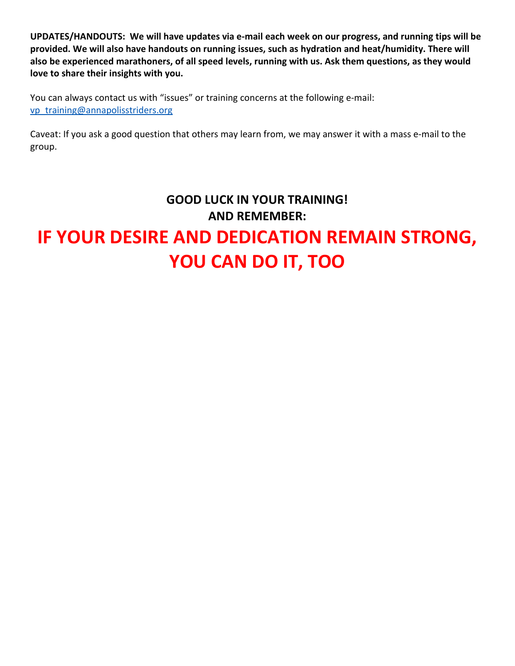**UPDATES/HANDOUTS: We will have updates via e-mail each week on our progress, and running tips will be provided. We will also have handouts on running issues, such as hydration and heat/humidity. There will also be experienced marathoners, of all speed levels, running with us. Ask them questions, as they would love to share their insights with you.**

You can always contact us with "issues" or training concerns at the following e-mail: [vp\\_training@annapolisstriders.org](mailto:vp_training@annapolisstriders.org)

Caveat: If you ask a good question that others may learn from, we may answer it with a mass e-mail to the group.

# **GOOD LUCK IN YOUR TRAINING! AND REMEMBER: IF YOUR DESIRE AND DEDICATION REMAIN STRONG, YOU CAN DO IT, TOO**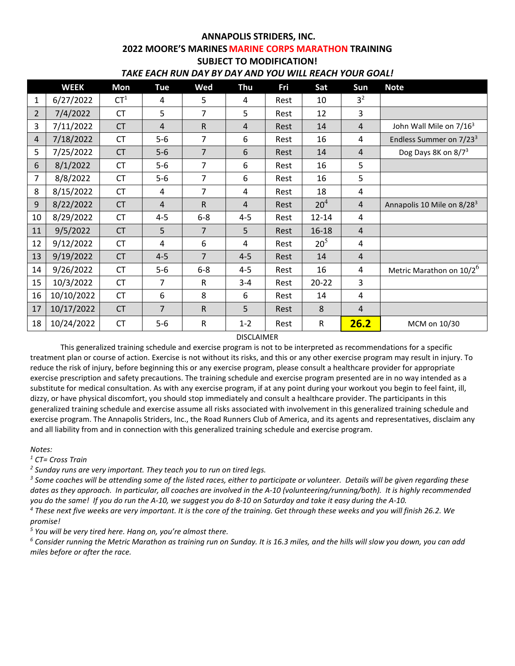# **ANNAPOLIS STRIDERS, INC. 2022 MOORE'S MARINES MARINE CORPS MARATHON TRAINING SUBJECT TO MODIFICATION!**

| TAKE EACH RUN DAY BY DAY AND YOU WILL REACH YOUR GOAL! |  |
|--------------------------------------------------------|--|
|--------------------------------------------------------|--|

|                | <b>WEEK</b> | Mon             | <b>Tue</b>     | Wed            | Thu            | Fri  | Sat             | Sun            | <b>Note</b>                          |
|----------------|-------------|-----------------|----------------|----------------|----------------|------|-----------------|----------------|--------------------------------------|
| 1              | 6/27/2022   | CT <sup>1</sup> | 4              | 5              | 4              | Rest | 10              | 3 <sup>2</sup> |                                      |
| $\overline{2}$ | 7/4/2022    | <b>CT</b>       | 5              | 7              | 5              | Rest | 12              | 3              |                                      |
| 3              | 7/11/2022   | <b>CT</b>       | $\overline{4}$ | $\mathsf R$    | $\overline{4}$ | Rest | 14              | $\overline{4}$ | John Wall Mile on 7/16 <sup>3</sup>  |
| $\overline{4}$ | 7/18/2022   | <b>CT</b>       | $5-6$          | 7              | 6              | Rest | 16              | 4              | Endless Summer on 7/23 <sup>3</sup>  |
| 5              | 7/25/2022   | <b>CT</b>       | $5-6$          | $\overline{7}$ | 6              | Rest | 14              | 4              | Dog Days 8K on 8/7 <sup>3</sup>      |
| 6              | 8/1/2022    | <b>CT</b>       | $5-6$          | 7              | 6              | Rest | 16              | 5              |                                      |
| 7              | 8/8/2022    | <b>CT</b>       | $5-6$          | 7              | 6              | Rest | 16              | 5              |                                      |
| 8              | 8/15/2022   | <b>CT</b>       | 4              | 7              | 4              | Rest | 18              | 4              |                                      |
| 9              | 8/22/2022   | <b>CT</b>       | $\overline{4}$ | $\mathsf R$    | $\overline{4}$ | Rest | 20 <sup>4</sup> | $\overline{4}$ | Annapolis 10 Mile on 8/283           |
| 10             | 8/29/2022   | <b>CT</b>       | $4 - 5$        | $6-8$          | $4 - 5$        | Rest | $12 - 14$       | 4              |                                      |
| 11             | 9/5/2022    | <b>CT</b>       | 5              | $\overline{7}$ | 5              | Rest | 16-18           | $\overline{4}$ |                                      |
| 12             | 9/12/2022   | <b>CT</b>       | 4              | 6              | 4              | Rest | 20 <sup>5</sup> | 4              |                                      |
| 13             | 9/19/2022   | <b>CT</b>       | $4 - 5$        | $\overline{7}$ | $4 - 5$        | Rest | 14              | $\overline{4}$ |                                      |
| 14             | 9/26/2022   | <b>CT</b>       | $5-6$          | $6-8$          | $4 - 5$        | Rest | 16              | 4              | Metric Marathon on 10/2 <sup>6</sup> |
| 15             | 10/3/2022   | <b>CT</b>       | 7              | ${\sf R}$      | $3 - 4$        | Rest | $20 - 22$       | 3              |                                      |
| 16             | 10/10/2022  | <b>CT</b>       | 6              | 8              | 6              | Rest | 14              | 4              |                                      |
| 17             | 10/17/2022  | <b>CT</b>       | 7              | $\mathsf R$    | 5              | Rest | 8               | $\overline{4}$ |                                      |
| 18             | 10/24/2022  | <b>CT</b>       | $5-6$          | ${\sf R}$      | $1 - 2$        | Rest | R               | 26.2           | MCM on 10/30                         |

#### DISCLAIMER

This generalized training schedule and exercise program is not to be interpreted as recommendations for a specific treatment plan or course of action. Exercise is not without its risks, and this or any other exercise program may result in injury. To reduce the risk of injury, before beginning this or any exercise program, please consult a healthcare provider for appropriate exercise prescription and safety precautions. The training schedule and exercise program presented are in no way intended as a substitute for medical consultation. As with any exercise program, if at any point during your workout you begin to feel faint, ill, dizzy, or have physical discomfort, you should stop immediately and consult a healthcare provider. The participants in this generalized training schedule and exercise assume all risks associated with involvement in this generalized training schedule and exercise program. The Annapolis Striders, Inc., the Road Runners Club of America, and its agents and representatives, disclaim any and all liability from and in connection with this generalized training schedule and exercise program.

#### *Notes:*

*<sup>1</sup> CT= Cross Train*

 $^2$  Sunday runs are very important. They teach you to run on tired legs.<br><sup>3</sup> Some coaches will be attending some of the listed races, either to participate or volunteer. Details will be given regarding these *dates as they approach. In particular, all coaches are involved in the A-10 (volunteering/running/both). It is highly recommended you do the same! If you do run the A-10, we suggest you do 8-10 on Saturday and take it easy during the A-10.*

*<sup>4</sup> These next five weeks are very important. It is the core of the training. Get through these weeks and you will finish 26.2. We promise!*

<sup>5</sup> You will be very tired here. Hang on, you're almost there.<br><sup>6</sup> Consider running the Metric Marathon as training run on Sunday. It is 16.3 miles, and the hills will slow you down, you can add *miles before or after the race.*